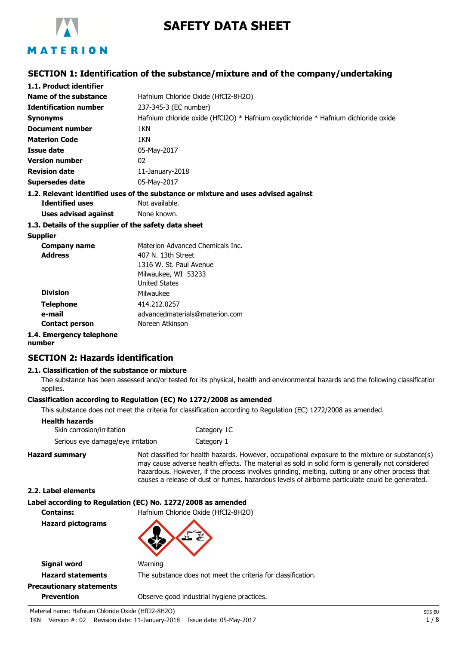

# **SAFETY DATA SHEET**

## **SECTION 1: Identification of the substance/mixture and of the company/undertaking**

| 1.1. Product identifier                               |                                                                                    |
|-------------------------------------------------------|------------------------------------------------------------------------------------|
| Name of the substance                                 | Hafnium Chloride Oxide (HfCl2-8H2O)                                                |
| <b>Identification number</b>                          | 237-345-3 (EC number)                                                              |
| <b>Synonyms</b>                                       | Hafnium chloride oxide (HfCl2O) * Hafnium oxydichloride * Hafnium dichloride oxide |
| Document number                                       | 1KN                                                                                |
| <b>Materion Code</b>                                  | 1KN                                                                                |
| Issue date                                            | 05-May-2017                                                                        |
| <b>Version number</b>                                 | 02                                                                                 |
| <b>Revision date</b>                                  | $11$ -January-2018                                                                 |
| Supersedes date                                       | 05-May-2017                                                                        |
|                                                       | 1.2. Relevant identified uses of the substance or mixture and uses advised against |
| <b>Identified uses</b>                                | Not available.                                                                     |
| Uses advised against                                  | None known.                                                                        |
| 1.3. Details of the supplier of the safety data sheet |                                                                                    |
| <b>Supplier</b>                                       |                                                                                    |
| Company name                                          | Materion Advanced Chemicals Inc.                                                   |
| Address                                               | 407 N 13th Street                                                                  |

| <b>Address</b>          | 407 N. 13th Street             |
|-------------------------|--------------------------------|
|                         | 1316 W. St. Paul Avenue        |
|                         | Milwaukee, WI 53233            |
|                         | <b>United States</b>           |
| <b>Division</b>         | Milwaukee                      |
| <b>Telephone</b>        | 414.212.0257                   |
| e-mail                  | advancedmaterials@materion.com |
| <b>Contact person</b>   | Noreen Atkinson                |
| 4 . Emergency telenhone |                                |

# **1.4. Emergency telephone**

#### **number**

#### **SECTION 2: Hazards identification**

#### **2.1. Classification of the substance or mixture**

The substance has been assessed and/or tested for its physical, health and environmental hazards and the following classification applies.

#### **Classification according to Regulation (EC) No 1272/2008 as amended**

This substance does not meet the criteria for classification according to Regulation (EC) 1272/2008 as amended.

| Skin corrosion/irritation         | Category 1C |  |
|-----------------------------------|-------------|--|
| Serious eye damage/eye irritation | Category 1  |  |

**Hazard summary** Not classified for health hazards. However, occupational exposure to the mixture or substance(s) may cause adverse health effects. The material as sold in solid form is generally not considered hazardous. However, if the process involves grinding, melting, cutting or any other process that causes a release of dust or fumes, hazardous levels of airborne particulate could be generated.

#### **2.2. Label elements**

#### **Label according to Regulation (EC) No. 1272/2008 as amended**

**Hazard pictograms**

**Contains:** Hafnium Chloride Oxide (HfCl2-8H2O)

**Signal word Warning** 

# **Precautionary statements**

**Hazard statements** The substance does not meet the criteria for classification.

**Prevention C** Observe good industrial hygiene practices.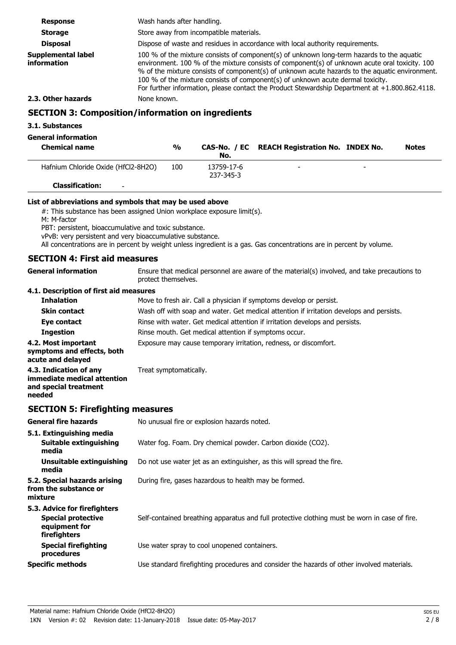| <b>Response</b>                                          | Wash hands after handling.                                                                                                                                                                                                                                                                                                                                                                                                                                                            |            |                                               |  |              |
|----------------------------------------------------------|---------------------------------------------------------------------------------------------------------------------------------------------------------------------------------------------------------------------------------------------------------------------------------------------------------------------------------------------------------------------------------------------------------------------------------------------------------------------------------------|------------|-----------------------------------------------|--|--------------|
| <b>Storage</b>                                           | Store away from incompatible materials.                                                                                                                                                                                                                                                                                                                                                                                                                                               |            |                                               |  |              |
| <b>Disposal</b>                                          | Dispose of waste and residues in accordance with local authority requirements.                                                                                                                                                                                                                                                                                                                                                                                                        |            |                                               |  |              |
| Supplemental label<br>information                        | 100 % of the mixture consists of component(s) of unknown long-term hazards to the aquatic<br>environment. 100 % of the mixture consists of component(s) of unknown acute oral toxicity. 100<br>% of the mixture consists of component(s) of unknown acute hazards to the aquatic environment.<br>100 % of the mixture consists of component(s) of unknown acute dermal toxicity.<br>For further information, please contact the Product Stewardship Department at $+1.800.862.4118$ . |            |                                               |  |              |
| 2.3. Other hazards                                       | None known.                                                                                                                                                                                                                                                                                                                                                                                                                                                                           |            |                                               |  |              |
| <b>SECTION 3: Composition/information on ingredients</b> |                                                                                                                                                                                                                                                                                                                                                                                                                                                                                       |            |                                               |  |              |
| 3.1. Substances<br><b>General information</b>            |                                                                                                                                                                                                                                                                                                                                                                                                                                                                                       |            |                                               |  |              |
| <b>Chemical name</b>                                     | $\frac{0}{0}$                                                                                                                                                                                                                                                                                                                                                                                                                                                                         | No.        | CAS-No. / EC REACH Registration No. INDEX No. |  | <b>Notes</b> |
| Hafnium Chloride Oxide (HfCl2-8H2O)                      | 100                                                                                                                                                                                                                                                                                                                                                                                                                                                                                   | 13759-17-6 |                                               |  |              |

#### **List of abbreviations and symbols that may be used above**

#: This substance has been assigned Union workplace exposure limit(s).

M: M-factor

PBT: persistent, bioaccumulative and toxic substance.

vPvB: very persistent and very bioaccumulative substance.

All concentrations are in percent by weight unless ingredient is a gas. Gas concentrations are in percent by volume.

237-345-3

#### **SECTION 4: First aid measures**

**Classification:** -

| <b>General information</b>                                                               | Ensure that medical personnel are aware of the material(s) involved, and take precautions to<br>protect themselves. |
|------------------------------------------------------------------------------------------|---------------------------------------------------------------------------------------------------------------------|
| 4.1. Description of first aid measures                                                   |                                                                                                                     |
| <b>Inhalation</b>                                                                        | Move to fresh air. Call a physician if symptoms develop or persist.                                                 |
| <b>Skin contact</b>                                                                      | Wash off with soap and water. Get medical attention if irritation develops and persists.                            |
| Eye contact                                                                              | Rinse with water. Get medical attention if irritation develops and persists.                                        |
| <b>Ingestion</b>                                                                         | Rinse mouth. Get medical attention if symptoms occur.                                                               |
| 4.2. Most important<br>symptoms and effects, both<br>acute and delayed                   | Exposure may cause temporary irritation, redness, or discomfort.                                                    |
| 4.3. Indication of any<br>immediate medical attention<br>and special treatment<br>needed | Treat symptomatically.                                                                                              |

#### **SECTION 5: Firefighting measures**

| <b>General fire hazards</b>                                                                | No unusual fire or explosion hazards noted.                                                   |  |  |
|--------------------------------------------------------------------------------------------|-----------------------------------------------------------------------------------------------|--|--|
| 5.1. Extinguishing media<br><b>Suitable extinguishing</b><br>media                         | Water fog. Foam. Dry chemical powder. Carbon dioxide (CO2).                                   |  |  |
| Unsuitable extinguishing<br>media                                                          | Do not use water jet as an extinguisher, as this will spread the fire.                        |  |  |
| 5.2. Special hazards arising<br>from the substance or<br>mixture                           | During fire, gases hazardous to health may be formed.                                         |  |  |
| 5.3. Advice for firefighters<br><b>Special protective</b><br>equipment for<br>firefighters | Self-contained breathing apparatus and full protective clothing must be worn in case of fire. |  |  |
| <b>Special firefighting</b><br>procedures                                                  | Use water spray to cool unopened containers.                                                  |  |  |
| <b>Specific methods</b>                                                                    | Use standard firefighting procedures and consider the hazards of other involved materials.    |  |  |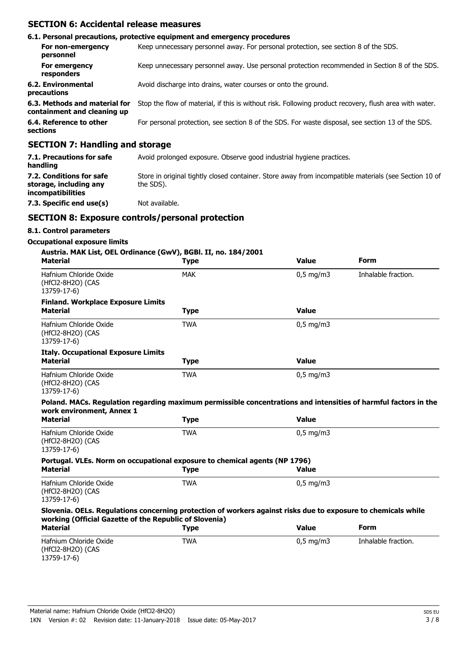#### **SECTION 6: Accidental release measures**

|                                                              | 6.1. Personal precautions, protective equipment and emergency procedures                               |
|--------------------------------------------------------------|--------------------------------------------------------------------------------------------------------|
| For non-emergency<br>personnel                               | Keep unnecessary personnel away. For personal protection, see section 8 of the SDS.                    |
| For emergency<br>responders                                  | Keep unnecessary personnel away. Use personal protection recommended in Section 8 of the SDS.          |
| 6.2. Environmental<br>precautions                            | Avoid discharge into drains, water courses or onto the ground.                                         |
| 6.3. Methods and material for<br>containment and cleaning up | Stop the flow of material, if this is without risk. Following product recovery, flush area with water. |
| 6.4. Reference to other<br>sections                          | For personal protection, see section 8 of the SDS. For waste disposal, see section 13 of the SDS.      |
| CECTION 7. Handling and stayses                              |                                                                                                        |

#### **SECTION 7: Handling and storage**

| 7.1. Precautions for safe<br>handling                                   | Avoid prolonged exposure. Observe good industrial hygiene practices.                                               |
|-------------------------------------------------------------------------|--------------------------------------------------------------------------------------------------------------------|
| 7.2. Conditions for safe<br>storage, including any<br>incompatibilities | Store in original tightly closed container. Store away from incompatible materials (see Section 10 of<br>the SDS). |
| 7.3. Specific end use(s)                                                | Not available.                                                                                                     |

#### **SECTION 8: Exposure controls/personal protection**

#### **8.1. Control parameters**

# **Occupational exposure limits**

| Austria. MAK List, OEL Ordinance (GwV), BGBI. II, no. 184/2001<br><b>Material</b>                               | <b>Type</b> | <b>Value</b> | <b>Form</b>         |
|-----------------------------------------------------------------------------------------------------------------|-------------|--------------|---------------------|
| Hafnium Chloride Oxide<br>(HfCl2-8H2O) (CAS<br>13759-17-6)                                                      | <b>MAK</b>  | $0,5$ mg/m3  | Inhalable fraction. |
| <b>Finland. Workplace Exposure Limits</b>                                                                       |             |              |                     |
| <b>Material</b>                                                                                                 | <b>Type</b> | <b>Value</b> |                     |
| Hafnium Chloride Oxide<br>(HfCl2-8H2O) (CAS<br>13759-17-6)                                                      | <b>TWA</b>  | $0.5$ mg/m3  |                     |
| <b>Italy. Occupational Exposure Limits</b>                                                                      |             |              |                     |
| <b>Material</b>                                                                                                 | <b>Type</b> | <b>Value</b> |                     |
| Hafnium Chloride Oxide<br>(HfCl2-8H2O) (CAS<br>13759-17-6)                                                      | <b>TWA</b>  | $0.5$ mg/m3  |                     |
| Poland. MACs. Regulation regarding maximum permissible concentrations and intensities of harmful factors in the |             |              |                     |
| work environment, Annex 1<br><b>Material</b>                                                                    | <b>Type</b> | <b>Value</b> |                     |
| Hafnium Chloride Oxide<br>(HfCl2-8H2O) (CAS<br>13759-17-6)                                                      | <b>TWA</b>  | $0,5$ mg/m3  |                     |
| Portugal. VLEs. Norm on occupational exposure to chemical agents (NP 1796)                                      |             |              |                     |
| <b>Material</b>                                                                                                 | <b>Type</b> | <b>Value</b> |                     |
| Hafnium Chloride Oxide<br>(HfCl2-8H2O) (CAS<br>13759-17-6)                                                      | <b>TWA</b>  | $0,5$ mg/m3  |                     |

#### **Slovenia. OELs. Regulations concerning protection of workers against risks due to exposure to chemicals while working (Official Gazette of the Republic of Slovenia)**

| Material                                                   | Type | <b>Value</b>       | Form                |  |
|------------------------------------------------------------|------|--------------------|---------------------|--|
| Hafnium Chloride Oxide<br>(HfCl2-8H2O) (CAS<br>13759-17-6) | TWA  | $0.5 \text{ mg/m}$ | Inhalable fraction. |  |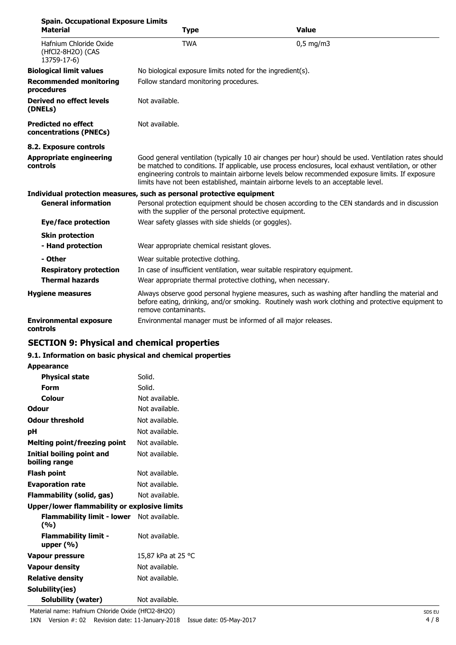| <b>Spain. Occupational Exposure Limits</b><br><b>Material</b> | <b>Type</b>                                                           | <b>Value</b>                                                                                                                                                                                                                                                                                                                                                                                           |  |  |
|---------------------------------------------------------------|-----------------------------------------------------------------------|--------------------------------------------------------------------------------------------------------------------------------------------------------------------------------------------------------------------------------------------------------------------------------------------------------------------------------------------------------------------------------------------------------|--|--|
| Hafnium Chloride Oxide<br>(HfCl2-8H2O) (CAS<br>13759-17-6)    | <b>TWA</b>                                                            | $0,5$ mg/m3                                                                                                                                                                                                                                                                                                                                                                                            |  |  |
| <b>Biological limit values</b>                                | No biological exposure limits noted for the ingredient(s).            |                                                                                                                                                                                                                                                                                                                                                                                                        |  |  |
| <b>Recommended monitoring</b><br>procedures                   |                                                                       | Follow standard monitoring procedures.                                                                                                                                                                                                                                                                                                                                                                 |  |  |
| Derived no effect levels<br>(DNELs)                           | Not available.                                                        |                                                                                                                                                                                                                                                                                                                                                                                                        |  |  |
| <b>Predicted no effect</b><br>concentrations (PNECs)          | Not available.                                                        |                                                                                                                                                                                                                                                                                                                                                                                                        |  |  |
| 8.2. Exposure controls                                        |                                                                       |                                                                                                                                                                                                                                                                                                                                                                                                        |  |  |
| <b>Appropriate engineering</b><br>controls                    |                                                                       | Good general ventilation (typically 10 air changes per hour) should be used. Ventilation rates should<br>be matched to conditions. If applicable, use process enclosures, local exhaust ventilation, or other<br>engineering controls to maintain airborne levels below recommended exposure limits. If exposure<br>limits have not been established, maintain airborne levels to an acceptable level. |  |  |
|                                                               | Individual protection measures, such as personal protective equipment |                                                                                                                                                                                                                                                                                                                                                                                                        |  |  |
| <b>General information</b>                                    | with the supplier of the personal protective equipment.               | Personal protection equipment should be chosen according to the CEN standards and in discussion                                                                                                                                                                                                                                                                                                        |  |  |
| <b>Eye/face protection</b>                                    | Wear safety glasses with side shields (or goggles).                   |                                                                                                                                                                                                                                                                                                                                                                                                        |  |  |
| <b>Skin protection</b>                                        |                                                                       |                                                                                                                                                                                                                                                                                                                                                                                                        |  |  |
| - Hand protection                                             | Wear appropriate chemical resistant gloves.                           |                                                                                                                                                                                                                                                                                                                                                                                                        |  |  |
| - Other                                                       | Wear suitable protective clothing.                                    |                                                                                                                                                                                                                                                                                                                                                                                                        |  |  |
| <b>Respiratory protection</b>                                 |                                                                       | In case of insufficient ventilation, wear suitable respiratory equipment.                                                                                                                                                                                                                                                                                                                              |  |  |
| <b>Thermal hazards</b>                                        | Wear appropriate thermal protective clothing, when necessary.         |                                                                                                                                                                                                                                                                                                                                                                                                        |  |  |
| <b>Hygiene measures</b>                                       | remove contaminants.                                                  | Always observe good personal hygiene measures, such as washing after handling the material and<br>before eating, drinking, and/or smoking. Routinely wash work clothing and protective equipment to                                                                                                                                                                                                    |  |  |
| <b>Environmental exposure</b><br>controls                     | Environmental manager must be informed of all major releases.         |                                                                                                                                                                                                                                                                                                                                                                                                        |  |  |

# **SECTION 9: Physical and chemical properties**

#### **9.1. Information on basic physical and chemical properties**

#### **Appearance**

| Not available.<br>Not available.<br>Not available.<br>Not available.<br>Not available.<br>Not available. |
|----------------------------------------------------------------------------------------------------------|
|                                                                                                          |
|                                                                                                          |
|                                                                                                          |
|                                                                                                          |
|                                                                                                          |
|                                                                                                          |
|                                                                                                          |
|                                                                                                          |
| Not available.                                                                                           |
| Not available.                                                                                           |
| Not available.                                                                                           |
| Upper/lower flammability or explosive limits                                                             |
| Flammability limit - lower Not available.                                                                |
| Not available.                                                                                           |
| 15,87 kPa at 25 °C                                                                                       |
| Not available.                                                                                           |
| Not available.                                                                                           |
|                                                                                                          |
| Not available.                                                                                           |
|                                                                                                          |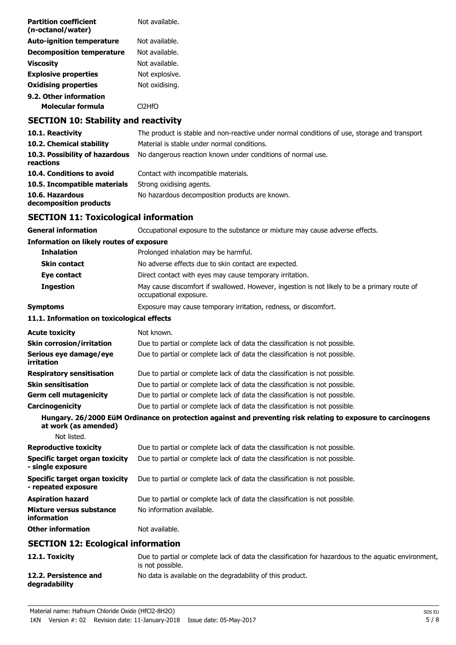| <b>Partition coefficient</b><br>(n-octanol/water) | Not available.      |
|---------------------------------------------------|---------------------|
| <b>Auto-ignition temperature</b>                  | Not available.      |
| <b>Decomposition temperature</b>                  | Not available.      |
| <b>Viscosity</b>                                  | Not available.      |
| <b>Explosive properties</b>                       | Not explosive.      |
| <b>Oxidising properties</b>                       | Not oxidising.      |
| 9.2. Other information                            |                     |
| Molecular formula                                 | Cl <sub>2</sub> HfO |
|                                                   |                     |

## **SECTION 10: Stability and reactivity**

| 10.1. Reactivity                            | The product is stable and non-reactive under normal conditions of use, storage and transport. |
|---------------------------------------------|-----------------------------------------------------------------------------------------------|
| 10.2. Chemical stability                    | Material is stable under normal conditions.                                                   |
| 10.3. Possibility of hazardous<br>reactions | No dangerous reaction known under conditions of normal use.                                   |
| 10.4. Conditions to avoid                   | Contact with incompatible materials.                                                          |
| 10.5. Incompatible materials                | Strong oxidising agents.                                                                      |
| 10.6. Hazardous<br>decomposition products   | No hazardous decomposition products are known.                                                |

# **SECTION 11: Toxicological information**

| <b>General information</b>                                   | Occupational exposure to the substance or mixture may cause adverse effects.                                             |
|--------------------------------------------------------------|--------------------------------------------------------------------------------------------------------------------------|
| <b>Information on likely routes of exposure</b>              |                                                                                                                          |
| <b>Inhalation</b>                                            | Prolonged inhalation may be harmful.                                                                                     |
| <b>Skin contact</b>                                          | No adverse effects due to skin contact are expected.                                                                     |
| Eye contact                                                  | Direct contact with eyes may cause temporary irritation.                                                                 |
| <b>Ingestion</b>                                             | May cause discomfort if swallowed. However, ingestion is not likely to be a primary route of<br>occupational exposure.   |
| <b>Symptoms</b>                                              | Exposure may cause temporary irritation, redness, or discomfort.                                                         |
| 11.1. Information on toxicological effects                   |                                                                                                                          |
| <b>Acute toxicity</b>                                        | Not known.                                                                                                               |
| <b>Skin corrosion/irritation</b>                             | Due to partial or complete lack of data the classification is not possible.                                              |
| Serious eye damage/eye<br>irritation                         | Due to partial or complete lack of data the classification is not possible.                                              |
| <b>Respiratory sensitisation</b>                             | Due to partial or complete lack of data the classification is not possible.                                              |
| <b>Skin sensitisation</b>                                    | Due to partial or complete lack of data the classification is not possible.                                              |
| <b>Germ cell mutagenicity</b>                                | Due to partial or complete lack of data the classification is not possible.                                              |
| Carcinogenicity                                              | Due to partial or complete lack of data the classification is not possible.                                              |
| at work (as amended)                                         | Hungary. 26/2000 EüM Ordinance on protection against and preventing risk relating to exposure to carcinogens             |
| Not listed.                                                  |                                                                                                                          |
| <b>Reproductive toxicity</b>                                 | Due to partial or complete lack of data the classification is not possible.                                              |
| <b>Specific target organ toxicity</b><br>- single exposure   | Due to partial or complete lack of data the classification is not possible.                                              |
| <b>Specific target organ toxicity</b><br>- repeated exposure | Due to partial or complete lack of data the classification is not possible.                                              |
| <b>Aspiration hazard</b>                                     | Due to partial or complete lack of data the classification is not possible.                                              |
| <b>Mixture versus substance</b><br>information               | No information available.                                                                                                |
| <b>Other information</b>                                     | Not available.                                                                                                           |
| <b>SECTION 12: Ecological information</b>                    |                                                                                                                          |
| 12.1. Toxicity                                               | Due to partial or complete lack of data the classification for hazardous to the aquatic environment,<br>is not possible. |
| 12.2. Persistence and<br>degradability                       | No data is available on the degradability of this product.                                                               |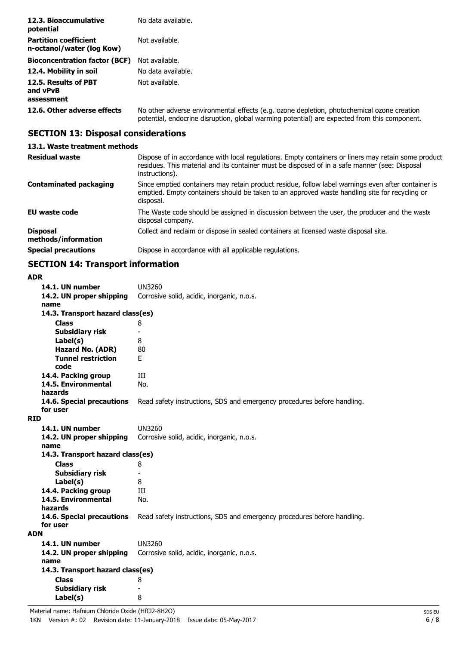| 12.3. Bioaccumulative<br>potential                        | No data available.                                                                                                                                                                         |
|-----------------------------------------------------------|--------------------------------------------------------------------------------------------------------------------------------------------------------------------------------------------|
| <b>Partition coefficient</b><br>n-octanol/water (log Kow) | Not available.                                                                                                                                                                             |
| <b>Bioconcentration factor (BCF)</b>                      | Not available.                                                                                                                                                                             |
| 12.4. Mobility in soil                                    | No data available.                                                                                                                                                                         |
| 12.5. Results of PBT<br>and vPvB<br>assessment            | Not available.                                                                                                                                                                             |
| 12.6. Other adverse effects                               | No other adverse environmental effects (e.g. ozone depletion, photochemical ozone creation<br>potential, endocrine disruption, global warming potential) are expected from this component. |

# **SECTION 13: Disposal considerations**

#### **13.1. Waste treatment methods**

| <b>Residual waste</b>                  | Dispose of in accordance with local regulations. Empty containers or liners may retain some product<br>residues. This material and its container must be disposed of in a safe manner (see: Disposal<br>instructions). |
|----------------------------------------|------------------------------------------------------------------------------------------------------------------------------------------------------------------------------------------------------------------------|
| <b>Contaminated packaging</b>          | Since emptied containers may retain product residue, follow label warnings even after container is<br>emptied. Empty containers should be taken to an approved waste handling site for recycling or<br>disposal.       |
| EU waste code                          | The Waste code should be assigned in discussion between the user, the producer and the waste<br>disposal company.                                                                                                      |
| <b>Disposal</b><br>methods/information | Collect and reclaim or dispose in sealed containers at licensed waste disposal site.                                                                                                                                   |
| <b>Special precautions</b>             | Dispose in accordance with all applicable regulations.                                                                                                                                                                 |

# **SECTION 14: Transport information**

| <b>ADR</b>                            |                                                                         |
|---------------------------------------|-------------------------------------------------------------------------|
| 14.1. UN number                       | UN3260                                                                  |
| 14.2. UN proper shipping              | Corrosive solid, acidic, inorganic, n.o.s.                              |
| name                                  |                                                                         |
| 14.3. Transport hazard class(es)      |                                                                         |
| <b>Class</b>                          | 8                                                                       |
| <b>Subsidiary risk</b>                | $\qquad \qquad \blacksquare$                                            |
| Label(s)                              | 8                                                                       |
| Hazard No. (ADR)                      | 80                                                                      |
| <b>Tunnel restriction</b>             | F.                                                                      |
| code                                  |                                                                         |
| 14.4. Packing group                   | Ш                                                                       |
| 14.5. Environmental                   | No.                                                                     |
| hazards                               |                                                                         |
| 14.6. Special precautions<br>for user | Read safety instructions, SDS and emergency procedures before handling. |
| <b>RID</b>                            |                                                                         |
| 14.1. UN number                       | <b>UN3260</b>                                                           |
| 14.2. UN proper shipping              | Corrosive solid, acidic, inorganic, n.o.s.                              |
| name                                  |                                                                         |
| 14.3. Transport hazard class(es)      |                                                                         |
| <b>Class</b>                          | 8                                                                       |
| <b>Subsidiary risk</b>                | $\qquad \qquad \blacksquare$                                            |
| Label(s)                              | 8                                                                       |
| 14.4. Packing group                   | Ш                                                                       |
| 14.5. Environmental                   | No.                                                                     |
| hazards                               |                                                                         |
| 14.6. Special precautions             | Read safety instructions, SDS and emergency procedures before handling. |
| for user                              |                                                                         |
| <b>ADN</b>                            |                                                                         |
| 14.1. UN number                       | <b>UN3260</b>                                                           |
| 14.2. UN proper shipping              | Corrosive solid, acidic, inorganic, n.o.s.                              |
| name                                  |                                                                         |
| 14.3. Transport hazard class(es)      |                                                                         |
| <b>Class</b>                          | 8                                                                       |
| Subsidiary risk                       |                                                                         |
| Label(s)                              | 8                                                                       |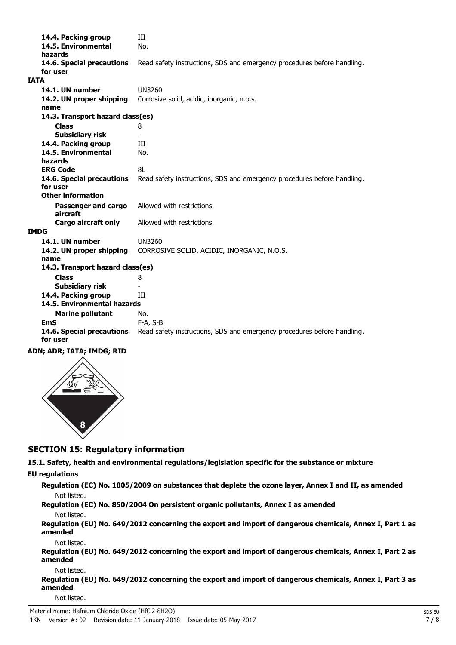14.4. Packing group **III 14.5. Environmental** No. **hazards 14.6. Special precautions** Read safety instructions, SDS and emergency procedures before handling. **for user IATA 14.1. UN number** UN3260 **14.2. UN proper shipping** Corrosive solid, acidic, inorganic, n.o.s. **name Class** 8 **14.3. Transport hazard class(es) Subsidiary risk** - **14.4. Packing group III 14.5. Environmental** No. **hazards ERG Code** 8L **14.6. Special precautions** Read safety instructions, SDS and emergency procedures before handling. **for user Passenger and cargo** Allowed with restrictions. **aircraft Other information Cargo aircraft only** Allowed with restrictions. **IMDG 14.1. UN number** UN3260 **14.2. UN proper shipping** CORROSIVE SOLID, ACIDIC, INORGANIC, N.O.S. **name Class** 8 **14.3. Transport hazard class(es) Subsidiary risk 14.4. Packing group III Marine pollutant** No. **14.5. Environmental hazards EmS** F-A, S-B **14.6. Special precautions** Read safety instructions, SDS and emergency procedures before handling. **for user**

**ADN; ADR; IATA; IMDG; RID**



# **SECTION 15: Regulatory information**

**15.1. Safety, health and environmental regulations/legislation specific for the substance or mixture**

#### **EU regulations**

**Regulation (EC) No. 1005/2009 on substances that deplete the ozone layer, Annex I and II, as amended** Not listed.

**Regulation (EC) No. 850/2004 On persistent organic pollutants, Annex I as amended** Not listed.

**Regulation (EU) No. 649/2012 concerning the export and import of dangerous chemicals, Annex I, Part 1 as amended**

Not listed.

**Regulation (EU) No. 649/2012 concerning the export and import of dangerous chemicals, Annex I, Part 2 as amended**

Not listed.

**Regulation (EU) No. 649/2012 concerning the export and import of dangerous chemicals, Annex I, Part 3 as amended**

Not listed.